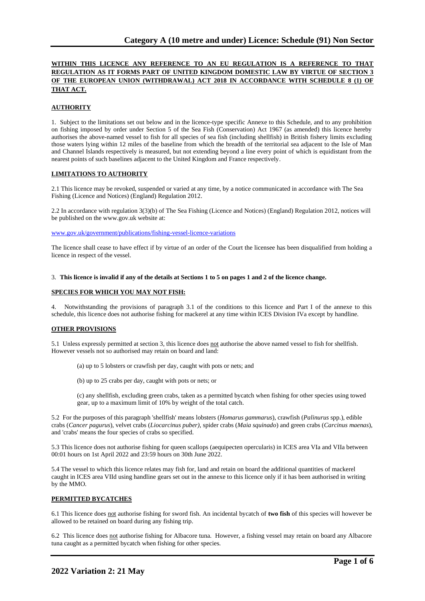# **WITHIN THIS LICENCE ANY REFERENCE TO AN EU REGULATION IS A REFERENCE TO THAT REGULATION AS IT FORMS PART OF UNITED KINGDOM DOMESTIC LAW BY VIRTUE OF SECTION 3 OF THE EUROPEAN UNION (WITHDRAWAL) ACT 2018 IN ACCORDANCE WITH SCHEDULE 8 (1) OF THAT ACT.**

### **AUTHORITY**

1. Subject to the limitations set out below and in the licence-type specific Annexe to this Schedule, and to any prohibition on fishing imposed by order under Section 5 of the Sea Fish (Conservation) Act 1967 (as amended) this licence hereby authorises the above-named vessel to fish for all species of sea fish (including shellfish) in British fishery limits excluding those waters lying within 12 miles of the baseline from which the breadth of the territorial sea adjacent to the Isle of Man and Channel Islands respectively is measured, but not extending beyond a line every point of which is equidistant from the nearest points of such baselines adjacent to the United Kingdom and France respectively.

#### **LIMITATIONS TO AUTHORITY**

2.1 This licence may be revoked, suspended or varied at any time, by a notice communicated in accordance with The Sea Fishing (Licence and Notices) (England) Regulation 2012.

2.2 In accordance with regulation 3(3)(b) of The Sea Fishing (Licence and Notices) (England) Regulation 2012, notices will be published on the www.gov.uk website at:

[www.gov.uk/government/publications/fishing-vessel-licence-variations](http://www.gov.uk/government/publications/fishing-vessel-licence-variations)

The licence shall cease to have effect if by virtue of an order of the Court the licensee has been disqualified from holding a licence in respect of the vessel.

#### 3. **This licence is invalid if any of the details at Sections 1 to 5 on pages 1 and 2 of the licence change.**

### **SPECIES FOR WHICH YOU MAY NOT FISH:**

4. Notwithstanding the provisions of paragraph 3.1 of the conditions to this licence and Part I of the annexe to this schedule, this licence does not authorise fishing for mackerel at any time within ICES Division IVa except by handline.

#### **OTHER PROVISIONS**

5.1 Unless expressly permitted at section 3, this licence does not authorise the above named vessel to fish for shellfish. However vessels not so authorised may retain on board and land:

(a) up to 5 lobsters or crawfish per day, caught with pots or nets; and

(b) up to 25 crabs per day, caught with pots or nets; or

(c) any shellfish, excluding green crabs, taken as a permitted bycatch when fishing for other species using towed gear, up to a maximum limit of 10% by weight of the total catch.

5.2 For the purposes of this paragraph 'shellfish' means lobsters (*Homarus gammarus*), crawfish (*Palinurus* spp.), edible crabs (*Cancer pagurus*), velvet crabs (*Liocarcinus puber)*, spider crabs (*Maia squinado*) and green crabs (*Carcinus maenas*), and 'crabs' means the four species of crabs so specified.

5.3 This licence does not authorise fishing for queen scallops (aequipecten opercularis) in ICES area VIa and VIIa between 00:01 hours on 1st April 2022 and 23:59 hours on 30th June 2022.

5.4 The vessel to which this licence relates may fish for, land and retain on board the additional quantities of mackerel caught in ICES area VIId using handline gears set out in the annexe to this licence only if it has been authorised in writing by the MMO.

#### **PERMITTED BYCATCHES**

6.1 This licence does not authorise fishing for sword fish. An incidental bycatch of **two fish** of this species will however be allowed to be retained on board during any fishing trip.

6.2 This licence does not authorise fishing for Albacore tuna. However, a fishing vessel may retain on board any Albacore tuna caught as a permitted bycatch when fishing for other species.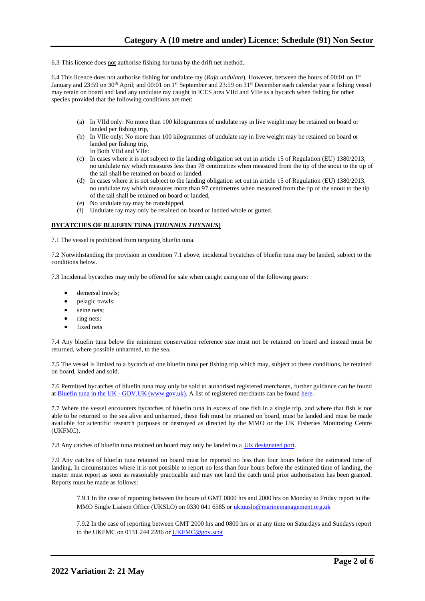6.3 This licence does not authorise fishing for tuna by the drift net method.

6.4 This licence does not authorise fishing for undulate ray (*Raja undulata*). However, between the hours of 00:01 on 1st January and 23:59 on 30<sup>th</sup> April; and 00:01 on 1<sup>st</sup> September and 23:59 on 31<sup>st</sup> December each calendar year a fishing vessel may retain on board and land any undulate ray caught in ICES area VIId and VIIe as a bycatch when fishing for other species provided that the following conditions are met:

- (a) In VIId only: No more than 100 kilogrammes of undulate ray in live weight may be retained on board or landed per fishing trip,
- (b) In VIIe only: No more than 100 kilogrammes of undulate ray in live weight may be retained on board or landed per fishing trip, In Both VIId and VIIe:
- (c) In cases where it is not subject to the landing obligation set out in article 15 of Regulation (EU) 1380/2013, no undulate ray which measures less than 78 centimetres when measured from the tip of the snout to the tip of the tail shall be retained on board or landed,
- (d) In cases where it is not subject to the landing obligation set out in article 15 of Regulation (EU) 1380/2013, no undulate ray which measures more than 97 centimetres when measured from the tip of the snout to the tip of the tail shall be retained on board or landed,
- (e) No undulate ray may be transhipped,
- (f) Undulate ray may only be retained on board or landed whole or gutted.

#### **BYCATCHES OF BLUEFIN TUNA (***THUNNUS THYNNUS***)**

7.1 The vessel is prohibited from targeting bluefin tuna.

7.2 Notwithstanding the provision in condition 7.1 above, incidental bycatches of bluefin tuna may be landed, subject to the conditions below.

7.3 Incidental bycatches may only be offered for sale when caught using one of the following gears:

- demersal trawls:
- pelagic trawls;
- seine nets:
- ring nets:
- fixed nets

7.4 Any bluefin tuna below the minimum conservation reference size must not be retained on board and instead must be returned, where possible unharmed, to the sea.

7.5 The vessel is limited to a bycatch of one bluefin tuna per fishing trip which may, subject to these conditions, be retained on board, landed and sold.

7.6 Permitted bycatches of bluefin tuna may only be sold to authorised registered merchants, further guidance can be found at Bluefin tuna in the UK - GOV.UK (www.gov.uk). A list of registered merchants can be found [here.](https://www.gov.uk/government/publications/bluefin-tuna-traders/registered-bluefin-tuna-traders)

7.7 Where the vessel encounters bycatches of bluefin tuna in excess of one fish in a single trip, and where that fish is not able to be returned to the sea alive and unharmed, these fish must be retained on board, must be landed and must be made available for scientific research purposes or destroyed as directed by the MMO or the UK Fisheries Monitoring Centre (UKFMC).

7.8 Any catches of bluefin tuna retained on board may only be landed to a [UK designated port.](https://www.gov.uk/government/publications/designated-ports/designated-ports-for-uk-flagged-vessels-landing-bluefin-tuna)

7.9 Any catches of bluefin tuna retained on board must be reported no less than four hours before the estimated time of landing. In circumstances where it is not possible to report no less than four hours before the estimated time of landing, the master must report as soon as reasonably practicable and may not land the catch until prior authorisation has been granted. Reports must be made as follows:

7.9.1 In the case of reporting between the hours of GMT 0800 hrs and 2000 hrs on Monday to Friday report to the MMO Single Liaison Office (UKSLO) on 0330 041 6585 o[r ukiuuslo@marinemanagement.org.uk](mailto:ukiuuslo@marinemanagement.org.uk)

7.9.2 In the case of reporting between GMT 2000 hrs and 0800 hrs or at any time on Saturdays and Sundays report to the UKFMC on 0131 244 2286 o[r UKFMC@gov.scot](mailto:UKFMC@gov.scot)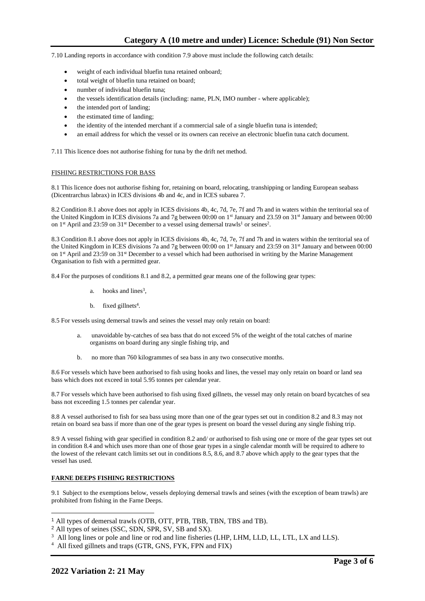7.10 Landing reports in accordance with condition 7.9 above must include the following catch details:

- weight of each individual bluefin tuna retained onboard;
- total weight of bluefin tuna retained on board;
- number of individual bluefin tuna;
- the vessels identification details (including: name, PLN, IMO number where applicable);
- the intended port of landing;
- the estimated time of landing;
- the identity of the intended merchant if a commercial sale of a single bluefin tuna is intended;
- an email address for which the vessel or its owners can receive an electronic bluefin tuna catch document.

7.11 This licence does not authorise fishing for tuna by the drift net method.

#### FISHING RESTRICTIONS FOR BASS

8.1 This licence does not authorise fishing for, retaining on board, relocating, transhipping or landing European seabass (Dicentrarchus labrax) in ICES divisions 4b and 4c, and in ICES subarea 7.

8.2 Condition 8.1 above does not apply in ICES divisions 4b, 4c, 7d, 7e, 7f and 7h and in waters within the territorial sea of the United Kingdom in ICES divisions 7a and 7g between 00:00 on 1<sup>st</sup> January and 23.59 on 31<sup>st</sup> January and between 00:00 on 1<sup>st</sup> April and 23:59 on 31<sup>st</sup> December to a vessel using demersal trawls<sup>1</sup> or seines<sup>2</sup>.

8.3 Condition 8.1 above does not apply in ICES divisions 4b, 4c, 7d, 7e, 7f and 7h and in waters within the territorial sea of the United Kingdom in ICES divisions 7a and 7g between 00:00 on 1<sup>st</sup> January and 23:59 on 31<sup>st</sup> January and between 00:00 on 1<sup>st</sup> April and 23:59 on 31<sup>st</sup> December to a vessel which had been authorised in writing by the Marine Management Organisation to fish with a permitted gear.

8.4 For the purposes of conditions 8.1 and 8.2, a permitted gear means one of the following gear types:

- a. hooks and lines<sup>3</sup>,
- $b.$  fixed gillnets<sup>4</sup>.

8.5 For vessels using demersal trawls and seines the vessel may only retain on board:

- a. unavoidable by-catches of sea bass that do not exceed 5% of the weight of the total catches of marine organisms on board during any single fishing trip, and
- b. no more than 760 kilogrammes of sea bass in any two consecutive months.

8.6 For vessels which have been authorised to fish using hooks and lines, the vessel may only retain on board or land sea bass which does not exceed in total 5.95 tonnes per calendar year.

8.7 For vessels which have been authorised to fish using fixed gillnets, the vessel may only retain on board bycatches of sea bass not exceeding 1.5 tonnes per calendar year.

8.8 A vessel authorised to fish for sea bass using more than one of the gear types set out in condition 8.2 and 8.3 may not retain on board sea bass if more than one of the gear types is present on board the vessel during any single fishing trip.

8.9 A vessel fishing with gear specified in condition 8.2 and/ or authorised to fish using one or more of the gear types set out in condition 8.4 and which uses more than one of those gear types in a single calendar month will be required to adhere to the lowest of the relevant catch limits set out in conditions 8.5, 8.6, and 8.7 above which apply to the gear types that the vessel has used.

#### **FARNE DEEPS FISHING RESTRICTIONS**

9.1 Subject to the exemptions below, vessels deploying demersal trawls and seines (with the exception of beam trawls) are prohibited from fishing in the Farne Deeps.

<sup>1</sup> All types of demersal trawls (OTB, OTT, PTB, TBB, TBN, TBS and TB).

<sup>2</sup> All types of seines (SSC, SDN, SPR, SV, SB and SX).

<sup>&</sup>lt;sup>3</sup> All long lines or pole and line or rod and line fisheries (LHP, LHM, LLD, LL, LTL, LX and LLS).

<sup>4</sup> All fixed gillnets and traps (GTR, GNS, FYK, FPN and FIX)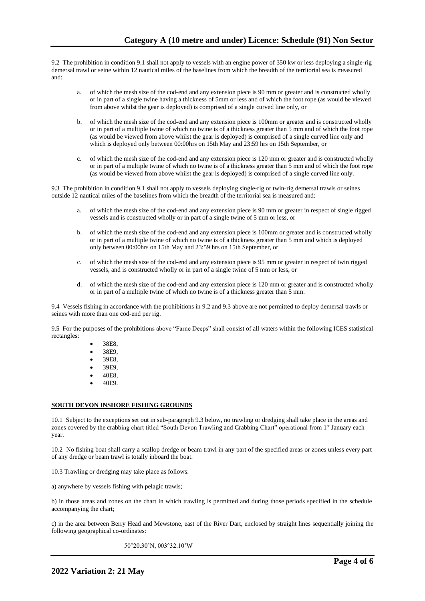9.2 The prohibition in condition 9.1 shall not apply to vessels with an engine power of 350 kw or less deploying a single-rig demersal trawl or seine within 12 nautical miles of the baselines from which the breadth of the territorial sea is measured and:

- a. of which the mesh size of the cod-end and any extension piece is 90 mm or greater and is constructed wholly or in part of a single twine having a thickness of 5mm or less and of which the foot rope (as would be viewed from above whilst the gear is deployed) is comprised of a single curved line only, or
- b. of which the mesh size of the cod-end and any extension piece is 100mm or greater and is constructed wholly or in part of a multiple twine of which no twine is of a thickness greater than 5 mm and of which the foot rope (as would be viewed from above whilst the gear is deployed) is comprised of a single curved line only and which is deployed only between 00:00hrs on 15th May and 23:59 hrs on 15th September, or
- c. of which the mesh size of the cod-end and any extension piece is 120 mm or greater and is constructed wholly or in part of a multiple twine of which no twine is of a thickness greater than 5 mm and of which the foot rope (as would be viewed from above whilst the gear is deployed) is comprised of a single curved line only.

9.3 The prohibition in condition 9.1 shall not apply to vessels deploying single-rig or twin-rig demersal trawls or seines outside 12 nautical miles of the baselines from which the breadth of the territorial sea is measured and:

- a. of which the mesh size of the cod-end and any extension piece is 90 mm or greater in respect of single rigged vessels and is constructed wholly or in part of a single twine of 5 mm or less, or
- b. of which the mesh size of the cod-end and any extension piece is 100mm or greater and is constructed wholly or in part of a multiple twine of which no twine is of a thickness greater than 5 mm and which is deployed only between 00:00hrs on 15th May and 23:59 hrs on 15th September, or
- c. of which the mesh size of the cod-end and any extension piece is 95 mm or greater in respect of twin rigged vessels, and is constructed wholly or in part of a single twine of 5 mm or less, or
- d. of which the mesh size of the cod-end and any extension piece is 120 mm or greater and is constructed wholly or in part of a multiple twine of which no twine is of a thickness greater than 5 mm.

9.4 Vessels fishing in accordance with the prohibitions in 9.2 and 9.3 above are not permitted to deploy demersal trawls or seines with more than one cod-end per rig.

9.5 For the purposes of the prohibitions above "Farne Deeps" shall consist of all waters within the following ICES statistical rectangles:

- 38E8,
- 38E9,
- 39E8,
- 39E9,
- 40E8,
- 40E9.

#### **SOUTH DEVON INSHORE FISHING GROUNDS**

10.1 Subject to the exceptions set out in sub-paragraph 9.3 below, no trawling or dredging shall take place in the areas and zones covered by the crabbing chart titled "South Devon Trawling and Crabbing Chart" operational from 1st January each year.

10.2 No fishing boat shall carry a scallop dredge or beam trawl in any part of the specified areas or zones unless every part of any dredge or beam trawl is totally inboard the boat.

10.3 Trawling or dredging may take place as follows:

a) anywhere by vessels fishing with pelagic trawls;

b) in those areas and zones on the chart in which trawling is permitted and during those periods specified in the schedule accompanying the chart;

c) in the area between Berry Head and Mewstone, east of the River Dart, enclosed by straight lines sequentially joining the following geographical co-ordinates:

50°20.30'N, 003°32.10'W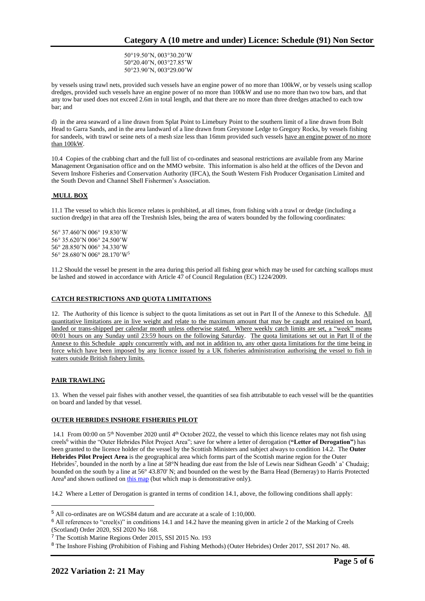50°19.50'N, 003°30.20'W 50°20.40'N, 003°27.85'W 50°23.90'N, 003°29.00'W

by vessels using trawl nets, provided such vessels have an engine power of no more than 100kW, or by vessels using scallop dredges, provided such vessels have an engine power of no more than 100kW and use no more than two tow bars, and that any tow bar used does not exceed 2.6m in total length, and that there are no more than three dredges attached to each tow bar; and

d) in the area seaward of a line drawn from Splat Point to Limebury Point to the southern limit of a line drawn from Bolt Head to Garra Sands, and in the area landward of a line drawn from Greystone Ledge to Gregory Rocks, by vessels fishing for sandeels, with trawl or seine nets of a mesh size less than 16mm provided such vessels have an engine power of no more than 100kW.

10.4 Copies of the crabbing chart and the full list of co-ordinates and seasonal restrictions are available from any Marine Management Organisation office and on the MMO website. This information is also held at the offices of the Devon and Severn Inshore Fisheries and Conservation Authority (IFCA), the South Western Fish Producer Organisation Limited and the South Devon and Channel Shell Fishermen's Association.

## **MULL BOX**

11.1 The vessel to which this licence relates is prohibited, at all times, from fishing with a trawl or dredge (including a suction dredge) in that area off the Treshnish Isles, being the area of waters bounded by the following coordinates:

56° 37.460'N 006° 19.830'W 56° 35.620'N 006° 24.500'W 56° 28.850'N 006° 34.330'W 56° 28.680'N 006° 28.170'W<sup>5</sup>

11.2 Should the vessel be present in the area during this period all fishing gear which may be used for catching scallops must be lashed and stowed in accordance with Article 47 of Council Regulation (EC) 1224/2009.

# **CATCH RESTRICTIONS AND QUOTA LIMITATIONS**

12. The Authority of this licence is subject to the quota limitations as set out in Part II of the Annexe to this Schedule. All quantitative limitations are in live weight and relate to the maximum amount that may be caught and retained on board, landed or trans-shipped per calendar month unless otherwise stated. Where weekly catch limits are set, a "week" means 00:01 hours on any Sunday until 23:59 hours on the following Saturday. The quota limitations set out in Part II of the Annexe to this Schedule apply concurrently with, and not in addition to, any other quota limitations for the time being in force which have been imposed by any licence issued by a UK fisheries administration authorising the vessel to fish in waters outside British fishery limits.

## **PAIR TRAWLING**

13. When the vessel pair fishes with another vessel, the quantities of sea fish attributable to each vessel will be the quantities on board and landed by that vessel.

## **OUTER HEBRIDES INSHORE FISHERIES PILOT**

14.1 From 00:00 on  $5<sup>th</sup>$  November 2020 until  $4<sup>th</sup>$  October 2022, the vessel to which this licence relates may not fish using creels<sup>6</sup> within the "Outer Hebrides Pilot Project Area"; save for where a letter of derogation (**"Letter of Derogation"**) has been granted to the licence holder of the vessel by the Scottish Ministers and subject always to condition 14.2. The **Outer Hebrides Pilot Project Area** is the geographical area which forms part of the Scottish marine region for the Outer Hebrides<sup>7</sup>, bounded in the north by a line at 58°N heading due east from the Isle of Lewis near Sidhean Geodh' a' Chudaig; bounded on the south by a line at 56° 43.870' N; and bounded on the west by the Barra Head (Berneray) to Harris Protected Area<sup>8</sup> and shown outlined on [this map](https://www.gov.scot/publications/outer-hebrides-inshore-fisheries-pilot-area) (but which map is demonstrative only).

14.2 Where a Letter of Derogation is granted in terms of condition 14.1, above, the following conditions shall apply:

<sup>5</sup> All co-ordinates are on WGS84 datum and are accurate at a scale of 1:10,000.

<sup>6</sup> All references to "creel(s)" in conditions 14.1 and 14.2 have the meaning given in article 2 of the Marking of Creels (Scotland) Order 2020, SSI 2020 No 168.

<sup>7</sup> The Scottish Marine Regions Order 2015, SSI 2015 No. 193

<sup>8</sup> The Inshore Fishing (Prohibition of Fishing and Fishing Methods) (Outer Hebrides) Order 2017, SSI 2017 No. 48.